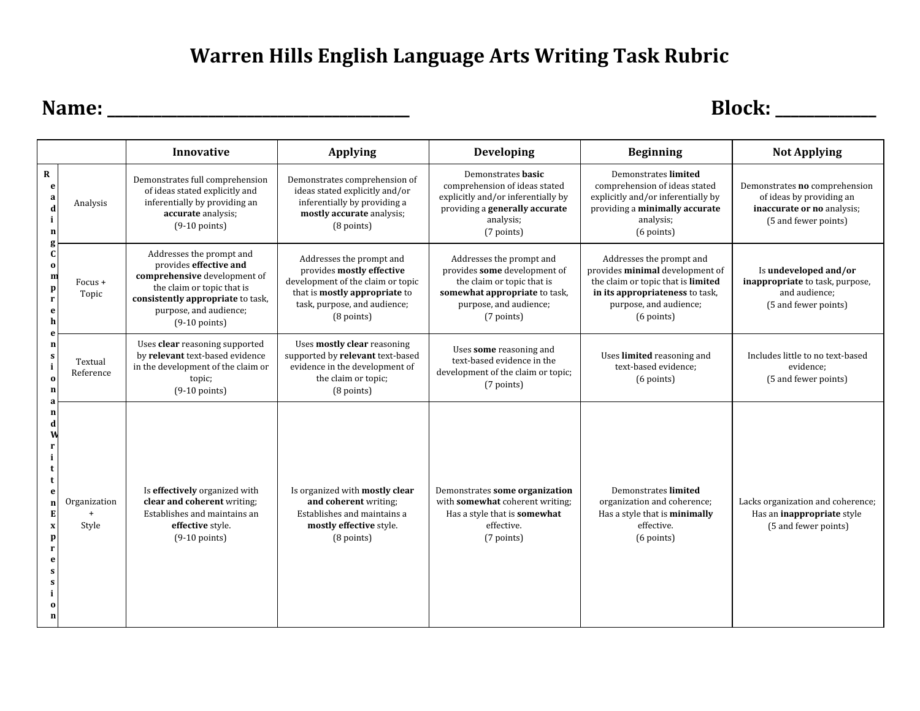## **Warren Hills English Language Arts Writing Task Rubric**

**Name: \_\_\_\_\_\_\_\_\_\_\_\_\_\_\_\_\_\_\_\_\_\_\_\_\_\_\_\_\_\_\_\_\_\_\_\_\_\_\_ Block: \_\_\_\_\_\_\_\_\_\_\_\_\_**

|                                                                                                                                                                                                                                                            |                       | Innovative                                                                                                                                                                                         | <b>Applying</b>                                                                                                                                                             | <b>Developing</b>                                                                                                                                               | <b>Beginning</b>                                                                                                                                                               | <b>Not Applying</b>                                                                                             |
|------------------------------------------------------------------------------------------------------------------------------------------------------------------------------------------------------------------------------------------------------------|-----------------------|----------------------------------------------------------------------------------------------------------------------------------------------------------------------------------------------------|-----------------------------------------------------------------------------------------------------------------------------------------------------------------------------|-----------------------------------------------------------------------------------------------------------------------------------------------------------------|--------------------------------------------------------------------------------------------------------------------------------------------------------------------------------|-----------------------------------------------------------------------------------------------------------------|
| R<br>e<br>a<br>$\mathbf d$<br>i<br>n<br>$\mathbf c$<br>$\bf{0}$<br>m<br>p<br>$\mathbf{r}$<br>e<br>h<br>$\mathbf n$<br>s<br>i<br>$\Omega$<br>n<br>n<br>d<br>e<br>E<br>$\mathbf x$<br>$\mathbf{p}$<br>$\mathbf{r}$<br>e<br>s<br>s<br>$\Omega$<br>$\mathbf n$ | Analysis              | Demonstrates full comprehension<br>of ideas stated explicitly and<br>inferentially by providing an<br>accurate analysis;<br>$(9-10$ points)                                                        | Demonstrates comprehension of<br>ideas stated explicitly and/or<br>inferentially by providing a<br>mostly accurate analysis;<br>$(8$ points)                                | Demonstrates basic<br>comprehension of ideas stated<br>explicitly and/or inferentially by<br>providing a generally accurate<br>analysis;<br>(7 points)          | Demonstrates limited<br>comprehension of ideas stated<br>explicitly and/or inferentially by<br>providing a minimally accurate<br>analysis;<br>(6 points)                       | Demonstrates no comprehension<br>of ideas by providing an<br>inaccurate or no analysis;<br>(5 and fewer points) |
|                                                                                                                                                                                                                                                            | $Focus +$<br>Topic    | Addresses the prompt and<br>provides effective and<br>comprehensive development of<br>the claim or topic that is<br>consistently appropriate to task,<br>purpose, and audience;<br>$(9-10$ points) | Addresses the prompt and<br>provides mostly effective<br>development of the claim or topic<br>that is mostly appropriate to<br>task, purpose, and audience;<br>$(8$ points) | Addresses the prompt and<br>provides some development of<br>the claim or topic that is<br>somewhat appropriate to task,<br>purpose, and audience;<br>(7 points) | Addresses the prompt and<br>provides minimal development of<br>the claim or topic that is limited<br>in its appropriateness to task,<br>purpose, and audience;<br>$(6$ points) | Is undeveloped and/or<br>inappropriate to task, purpose,<br>and audience;<br>(5 and fewer points)               |
|                                                                                                                                                                                                                                                            | Textual<br>Reference  | Uses clear reasoning supported<br>by relevant text-based evidence<br>in the development of the claim or<br>topic;<br>$(9-10$ points)                                                               | Uses mostly clear reasoning<br>supported by relevant text-based<br>evidence in the development of<br>the claim or topic;<br>$(8$ points)                                    | Uses some reasoning and<br>text-based evidence in the<br>development of the claim or topic;<br>(7 points)                                                       | Uses limited reasoning and<br>text-based evidence;<br>$(6$ points)                                                                                                             | Includes little to no text-based<br>evidence;<br>(5 and fewer points)                                           |
|                                                                                                                                                                                                                                                            | Organization<br>Style | Is effectively organized with<br>clear and coherent writing;<br>Establishes and maintains an<br>effective style.<br>$(9-10$ points)                                                                | Is organized with mostly clear<br>and coherent writing;<br>Establishes and maintains a<br>mostly effective style.<br>$(8$ points)                                           | Demonstrates some organization<br>with somewhat coherent writing;<br>Has a style that is somewhat<br>effective.<br>(7 points)                                   | Demonstrates limited<br>organization and coherence;<br>Has a style that is minimally<br>effective.<br>$(6$ points)                                                             | Lacks organization and coherence;<br>Has an <b>inappropriate</b> style<br>(5 and fewer points)                  |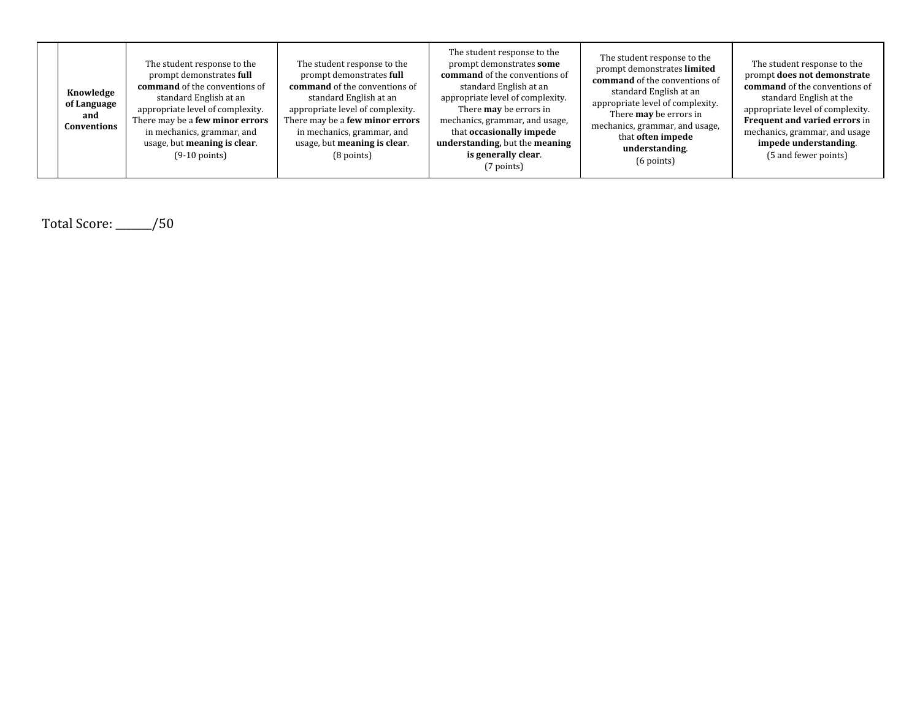| Knowledge<br>of Language<br>and<br>Conventions | The student response to the<br>prompt demonstrates full<br><b>command</b> of the conventions of<br>standard English at an<br>appropriate level of complexity.<br>There may be a few minor errors<br>in mechanics, grammar, and<br>usage, but meaning is clear.<br>$(9-10 \text{ points})$ | The student response to the<br>prompt demonstrates full<br><b>command</b> of the conventions of<br>standard English at an<br>appropriate level of complexity.<br>There may be a few minor errors<br>in mechanics, grammar, and<br>usage, but meaning is clear.<br>$(8$ points) | The student response to the<br>prompt demonstrates some<br><b>command</b> of the conventions of<br>standard English at an<br>appropriate level of complexity.<br>There <b>may</b> be errors in<br>mechanics, grammar, and usage,<br>that occasionally impede<br>understanding, but the meaning<br>is generally clear.<br>(7 points) | The student response to the<br>prompt demonstrates limited<br>command of the conventions of<br>standard English at an<br>appropriate level of complexity.<br>There <b>may</b> be errors in<br>mechanics, grammar, and usage,<br>that <b>often</b> impede<br>understanding.<br>$(6 \text{ points})$ | The student response to the<br>prompt does not demonstrate<br><b>command</b> of the conventions of<br>standard English at the<br>appropriate level of complexity.<br><b>Frequent and varied errors in</b><br>mechanics, grammar, and usage<br>impede understanding.<br>(5 and fewer points) |
|------------------------------------------------|-------------------------------------------------------------------------------------------------------------------------------------------------------------------------------------------------------------------------------------------------------------------------------------------|--------------------------------------------------------------------------------------------------------------------------------------------------------------------------------------------------------------------------------------------------------------------------------|-------------------------------------------------------------------------------------------------------------------------------------------------------------------------------------------------------------------------------------------------------------------------------------------------------------------------------------|----------------------------------------------------------------------------------------------------------------------------------------------------------------------------------------------------------------------------------------------------------------------------------------------------|---------------------------------------------------------------------------------------------------------------------------------------------------------------------------------------------------------------------------------------------------------------------------------------------|
|------------------------------------------------|-------------------------------------------------------------------------------------------------------------------------------------------------------------------------------------------------------------------------------------------------------------------------------------------|--------------------------------------------------------------------------------------------------------------------------------------------------------------------------------------------------------------------------------------------------------------------------------|-------------------------------------------------------------------------------------------------------------------------------------------------------------------------------------------------------------------------------------------------------------------------------------------------------------------------------------|----------------------------------------------------------------------------------------------------------------------------------------------------------------------------------------------------------------------------------------------------------------------------------------------------|---------------------------------------------------------------------------------------------------------------------------------------------------------------------------------------------------------------------------------------------------------------------------------------------|

Total Score: \_\_\_\_\_\_\_/50